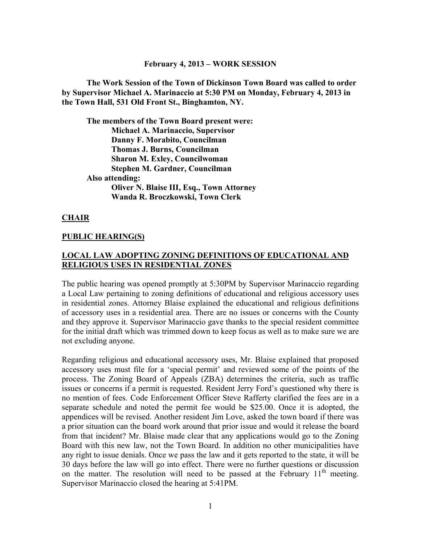#### **February 4, 2013 – WORK SESSION**

**The Work Session of the Town of Dickinson Town Board was called to order by Supervisor Michael A. Marinaccio at 5:30 PM on Monday, February 4, 2013 in the Town Hall, 531 Old Front St., Binghamton, NY.** 

**The members of the Town Board present were: Michael A. Marinaccio, Supervisor Danny F. Morabito, Councilman Thomas J. Burns, Councilman Sharon M. Exley, Councilwoman Stephen M. Gardner, Councilman Also attending: Oliver N. Blaise III, Esq., Town Attorney Wanda R. Broczkowski, Town Clerk** 

#### **CHAIR**

#### **PUBLIC HEARING(S)**

#### **LOCAL LAW ADOPTING ZONING DEFINITIONS OF EDUCATIONAL AND RELIGIOUS USES IN RESIDENTIAL ZONES**

The public hearing was opened promptly at 5:30PM by Supervisor Marinaccio regarding a Local Law pertaining to zoning definitions of educational and religious accessory uses in residential zones. Attorney Blaise explained the educational and religious definitions of accessory uses in a residential area. There are no issues or concerns with the County and they approve it. Supervisor Marinaccio gave thanks to the special resident committee for the initial draft which was trimmed down to keep focus as well as to make sure we are not excluding anyone.

Regarding religious and educational accessory uses, Mr. Blaise explained that proposed accessory uses must file for a 'special permit' and reviewed some of the points of the process. The Zoning Board of Appeals (ZBA) determines the criteria, such as traffic issues or concerns if a permit is requested. Resident Jerry Ford's questioned why there is no mention of fees. Code Enforcement Officer Steve Rafferty clarified the fees are in a separate schedule and noted the permit fee would be \$25.00. Once it is adopted, the appendices will be revised. Another resident Jim Love, asked the town board if there was a prior situation can the board work around that prior issue and would it release the board from that incident? Mr. Blaise made clear that any applications would go to the Zoning Board with this new law, not the Town Board. In addition no other municipalities have any right to issue denials. Once we pass the law and it gets reported to the state, it will be 30 days before the law will go into effect. There were no further questions or discussion on the matter. The resolution will need to be passed at the February  $11<sup>th</sup>$  meeting. Supervisor Marinaccio closed the hearing at 5:41PM.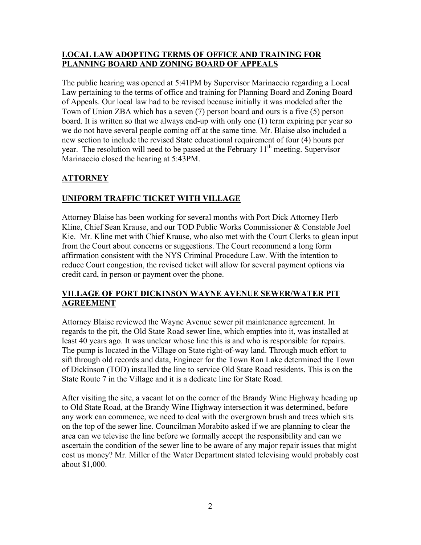## **LOCAL LAW ADOPTING TERMS OF OFFICE AND TRAINING FOR PLANNING BOARD AND ZONING BOARD OF APPEALS**

The public hearing was opened at 5:41PM by Supervisor Marinaccio regarding a Local Law pertaining to the terms of office and training for Planning Board and Zoning Board of Appeals. Our local law had to be revised because initially it was modeled after the Town of Union ZBA which has a seven (7) person board and ours is a five (5) person board. It is written so that we always end-up with only one (1) term expiring per year so we do not have several people coming off at the same time. Mr. Blaise also included a new section to include the revised State educational requirement of four (4) hours per year. The resolution will need to be passed at the February  $11<sup>th</sup>$  meeting. Supervisor Marinaccio closed the hearing at 5:43PM.

# **ATTORNEY**

# **UNIFORM TRAFFIC TICKET WITH VILLAGE**

Attorney Blaise has been working for several months with Port Dick Attorney Herb Kline, Chief Sean Krause, and our TOD Public Works Commissioner & Constable Joel Kie. Mr. Kline met with Chief Krause, who also met with the Court Clerks to glean input from the Court about concerns or suggestions. The Court recommend a long form affirmation consistent with the NYS Criminal Procedure Law. With the intention to reduce Court congestion, the revised ticket will allow for several payment options via credit card, in person or payment over the phone.

## **VILLAGE OF PORT DICKINSON WAYNE AVENUE SEWER/WATER PIT AGREEMENT**

Attorney Blaise reviewed the Wayne Avenue sewer pit maintenance agreement. In regards to the pit, the Old State Road sewer line, which empties into it, was installed at least 40 years ago. It was unclear whose line this is and who is responsible for repairs. The pump is located in the Village on State right-of-way land. Through much effort to sift through old records and data, Engineer for the Town Ron Lake determined the Town of Dickinson (TOD) installed the line to service Old State Road residents. This is on the State Route 7 in the Village and it is a dedicate line for State Road.

After visiting the site, a vacant lot on the corner of the Brandy Wine Highway heading up to Old State Road, at the Brandy Wine Highway intersection it was determined, before any work can commence, we need to deal with the overgrown brush and trees which sits on the top of the sewer line. Councilman Morabito asked if we are planning to clear the area can we televise the line before we formally accept the responsibility and can we ascertain the condition of the sewer line to be aware of any major repair issues that might cost us money? Mr. Miller of the Water Department stated televising would probably cost about \$1,000.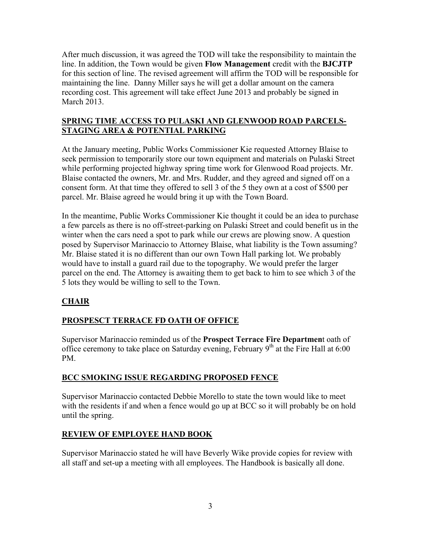After much discussion, it was agreed the TOD will take the responsibility to maintain the line. In addition, the Town would be given **Flow Management** credit with the **BJCJTP** for this section of line. The revised agreement will affirm the TOD will be responsible for maintaining the line. Danny Miller says he will get a dollar amount on the camera recording cost. This agreement will take effect June 2013 and probably be signed in March 2013.

## **SPRING TIME ACCESS TO PULASKI AND GLENWOOD ROAD PARCELS-STAGING AREA & POTENTIAL PARKING**

At the January meeting, Public Works Commissioner Kie requested Attorney Blaise to seek permission to temporarily store our town equipment and materials on Pulaski Street while performing projected highway spring time work for Glenwood Road projects. Mr. Blaise contacted the owners, Mr. and Mrs. Rudder, and they agreed and signed off on a consent form. At that time they offered to sell 3 of the 5 they own at a cost of \$500 per parcel. Mr. Blaise agreed he would bring it up with the Town Board.

In the meantime, Public Works Commissioner Kie thought it could be an idea to purchase a few parcels as there is no off-street-parking on Pulaski Street and could benefit us in the winter when the cars need a spot to park while our crews are plowing snow. A question posed by Supervisor Marinaccio to Attorney Blaise, what liability is the Town assuming? Mr. Blaise stated it is no different than our own Town Hall parking lot. We probably would have to install a guard rail due to the topography. We would prefer the larger parcel on the end. The Attorney is awaiting them to get back to him to see which 3 of the 5 lots they would be willing to sell to the Town.

# **CHAIR**

# **PROSPESCT TERRACE FD OATH OF OFFICE**

Supervisor Marinaccio reminded us of the **Prospect Terrace Fire Departmen**t oath of office ceremony to take place on Saturday evening, February  $9<sup>th</sup>$  at the Fire Hall at 6:00 PM.

# **BCC SMOKING ISSUE REGARDING PROPOSED FENCE**

Supervisor Marinaccio contacted Debbie Morello to state the town would like to meet with the residents if and when a fence would go up at BCC so it will probably be on hold until the spring.

# **REVIEW OF EMPLOYEE HAND BOOK**

Supervisor Marinaccio stated he will have Beverly Wike provide copies for review with all staff and set-up a meeting with all employees. The Handbook is basically all done.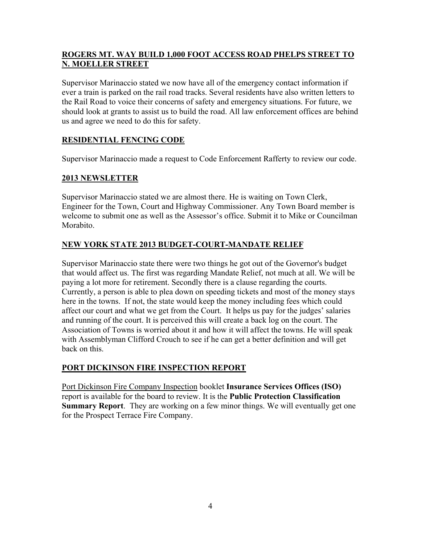## **ROGERS MT. WAY BUILD 1,000 FOOT ACCESS ROAD PHELPS STREET TO N. MOELLER STREET**

Supervisor Marinaccio stated we now have all of the emergency contact information if ever a train is parked on the rail road tracks. Several residents have also written letters to the Rail Road to voice their concerns of safety and emergency situations. For future, we should look at grants to assist us to build the road. All law enforcement offices are behind us and agree we need to do this for safety.

# **RESIDENTIAL FENCING CODE**

Supervisor Marinaccio made a request to Code Enforcement Rafferty to review our code.

# **2013 NEWSLETTER**

Supervisor Marinaccio stated we are almost there. He is waiting on Town Clerk, Engineer for the Town, Court and Highway Commissioner. Any Town Board member is welcome to submit one as well as the Assessor's office. Submit it to Mike or Councilman Morabito.

# **NEW YORK STATE 2013 BUDGET-COURT-MANDATE RELIEF**

Supervisor Marinaccio state there were two things he got out of the Governor's budget that would affect us. The first was regarding Mandate Relief, not much at all. We will be paying a lot more for retirement. Secondly there is a clause regarding the courts. Currently, a person is able to plea down on speeding tickets and most of the money stays here in the towns. If not, the state would keep the money including fees which could affect our court and what we get from the Court. It helps us pay for the judges' salaries and running of the court. It is perceived this will create a back log on the court. The Association of Towns is worried about it and how it will affect the towns. He will speak with Assemblyman Clifford Crouch to see if he can get a better definition and will get back on this.

# **PORT DICKINSON FIRE INSPECTION REPORT**

Port Dickinson Fire Company Inspection booklet **Insurance Services Offices (ISO)** report is available for the board to review. It is the **Public Protection Classification Summary Report**. They are working on a few minor things. We will eventually get one for the Prospect Terrace Fire Company.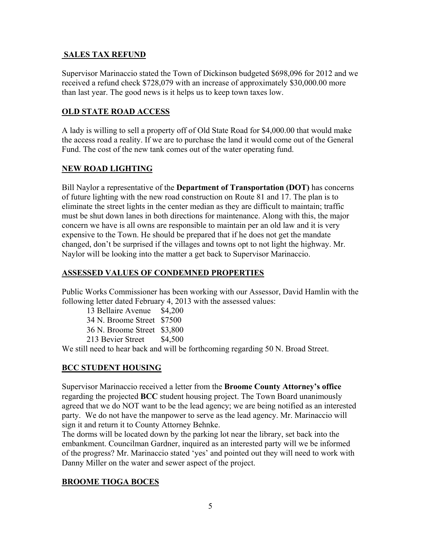#### **SALES TAX REFUND**

Supervisor Marinaccio stated the Town of Dickinson budgeted \$698,096 for 2012 and we received a refund check \$728,079 with an increase of approximately \$30,000.00 more than last year. The good news is it helps us to keep town taxes low.

#### **OLD STATE ROAD ACCESS**

A lady is willing to sell a property off of Old State Road for \$4,000.00 that would make the access road a reality. If we are to purchase the land it would come out of the General Fund. The cost of the new tank comes out of the water operating fund.

#### **NEW ROAD LIGHTING**

Bill Naylor a representative of the **Department of Transportation (DOT)** has concerns of future lighting with the new road construction on Route 81 and 17. The plan is to eliminate the street lights in the center median as they are difficult to maintain; traffic must be shut down lanes in both directions for maintenance. Along with this, the major concern we have is all owns are responsible to maintain per an old law and it is very expensive to the Town. He should be prepared that if he does not get the mandate changed, don't be surprised if the villages and towns opt to not light the highway. Mr. Naylor will be looking into the matter a get back to Supervisor Marinaccio.

#### **ASSESSED VALUES OF CONDEMNED PROPERTIES**

Public Works Commissioner has been working with our Assessor, David Hamlin with the following letter dated February 4, 2013 with the assessed values:

13 Bellaire Avenue \$4,200 34 N. Broome Street \$7500 36 N. Broome Street \$3,800

213 Bevier Street \$4,500

We still need to hear back and will be forthcoming regarding 50 N. Broad Street.

#### **BCC STUDENT HOUSING**

Supervisor Marinaccio received a letter from the **Broome County Attorney's office** regarding the projected **BCC** student housing project. The Town Board unanimously agreed that we do NOT want to be the lead agency; we are being notified as an interested party. We do not have the manpower to serve as the lead agency. Mr. Marinaccio will sign it and return it to County Attorney Behnke.

The dorms will be located down by the parking lot near the library, set back into the embankment. Councilman Gardner, inquired as an interested party will we be informed of the progress? Mr. Marinaccio stated 'yes' and pointed out they will need to work with Danny Miller on the water and sewer aspect of the project.

#### **BROOME TIOGA BOCES**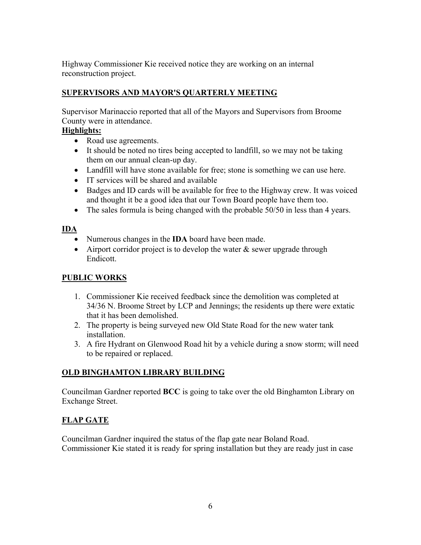Highway Commissioner Kie received notice they are working on an internal reconstruction project.

# **SUPERVISORS AND MAYOR'S QUARTERLY MEETING**

Supervisor Marinaccio reported that all of the Mayors and Supervisors from Broome County were in attendance.

## **Highlights:**

- Road use agreements.
- It should be noted no tires being accepted to landfill, so we may not be taking them on our annual clean-up day.
- Landfill will have stone available for free; stone is something we can use here.
- IT services will be shared and available
- Badges and ID cards will be available for free to the Highway crew. It was voiced and thought it be a good idea that our Town Board people have them too.
- The sales formula is being changed with the probable 50/50 in less than 4 years.

## **IDA**

- Numerous changes in the **IDA** board have been made.
- Airport corridor project is to develop the water  $\&$  sewer upgrade through Endicott.

# **PUBLIC WORKS**

- 1. Commissioner Kie received feedback since the demolition was completed at 34/36 N. Broome Street by LCP and Jennings; the residents up there were extatic that it has been demolished.
- 2. The property is being surveyed new Old State Road for the new water tank installation.
- 3. A fire Hydrant on Glenwood Road hit by a vehicle during a snow storm; will need to be repaired or replaced.

# **OLD BINGHAMTON LIBRARY BUILDING**

Councilman Gardner reported **BCC** is going to take over the old Binghamton Library on Exchange Street.

# **FLAP GATE**

Councilman Gardner inquired the status of the flap gate near Boland Road. Commissioner Kie stated it is ready for spring installation but they are ready just in case